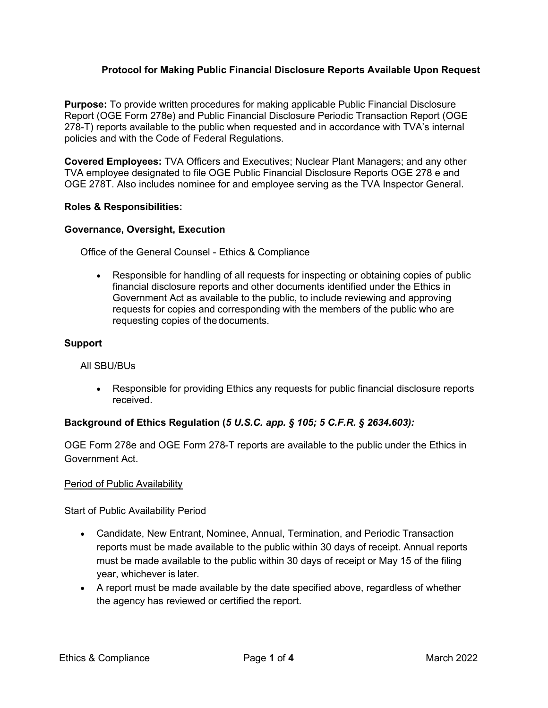## **Protocol for Making Public Financial Disclosure Reports Available Upon Request**

**Purpose:** To provide written procedures for making applicable Public Financial Disclosure Report (OGE Form 278e) and Public Financial Disclosure Periodic Transaction Report (OGE 278-T) reports available to the public when requested and in accordance with TVA's internal policies and with the Code of Federal Regulations.

**Covered Employees:** TVA Officers and Executives; Nuclear Plant Managers; and any other TVA employee designated to file OGE Public Financial Disclosure Reports OGE 278 e and OGE 278T. Also includes nominee for and employee serving as the TVA Inspector General.

#### **Roles & Responsibilities:**

#### **Governance, Oversight, Execution**

Office of the General Counsel - Ethics & Compliance

• Responsible for handling of all requests for inspecting or obtaining copies of public financial disclosure reports and other documents identified under the Ethics in Government Act as available to the public, to include reviewing and approving requests for copies and corresponding with the members of the public who are requesting copies of thedocuments.

#### **Support**

All SBU/BUs

• Responsible for providing Ethics any requests for public financial disclosure reports received.

## **Background of Ethics Regulation (***5 U.S.C. app. § 105; 5 C.F.R. § 2634.603):*

OGE Form 278e and OGE Form 278-T reports are available to the public under the Ethics in Government Act.

#### Period of Public Availability

Start of Public Availability Period

- Candidate, New Entrant, Nominee, Annual, Termination, and Periodic Transaction reports must be made available to the public within 30 days of receipt. Annual reports must be made available to the public within 30 days of receipt or May 15 of the filing year, whichever is later.
- A report must be made available by the date specified above, regardless of whether the agency has reviewed or certified the report.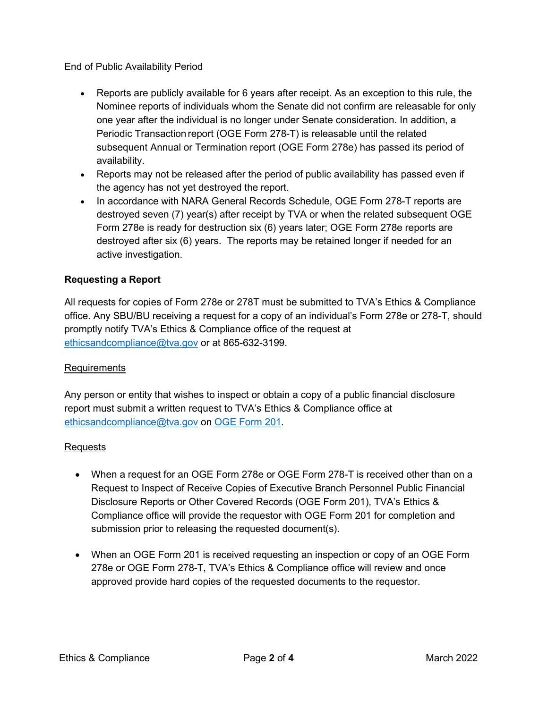End of Public Availability Period

- Reports are publicly available for 6 years after receipt. As an exception to this rule, the Nominee reports of individuals whom the Senate did not confirm are releasable for only one year after the individual is no longer under Senate consideration. In addition, a Periodic Transaction report (OGE Form 278-T) is releasable until the related subsequent Annual or Termination report (OGE Form 278e) has passed its period of availability.
- Reports may not be released after the period of public availability has passed even if the agency has not yet destroyed the report.
- In accordance with NARA General Records Schedule, OGE Form 278-T reports are destroyed seven (7) year(s) after receipt by TVA or when the related subsequent OGE Form 278e is ready for destruction six (6) years later; OGE Form 278e reports are destroyed after six (6) years. The reports may be retained longer if needed for an active investigation.

## **Requesting a Report**

All requests for copies of Form 278e or 278T must be submitted to TVA's Ethics & Compliance office. Any SBU/BU receiving a request for a copy of an individual's Form 278e or 278-T, should promptly notify TVA's Ethics & Compliance office of the request at ethicsandcompliance@tva.gov or at 865-632-3199.

## Requirements

Any person or entity that wishes to inspect or obtain a copy of a public financial disclosure report must submit a written request to TVA's Ethics & Compliance office at ethicsandcompliance@tva.gov on [OGE Form 201.](https://www.oge.gov/web/OGE.nsf/OGE%20Forms/35562B22EDBD9FFC852585B6005A1351?opendocument)

## Requests

- When a request for an OGE Form 278e or OGE Form 278-T is received other than on a Request to Inspect of Receive Copies of Executive Branch Personnel Public Financial Disclosure Reports or Other Covered Records (OGE Form 201), TVA's Ethics & Compliance office will provide the requestor with OGE Form 201 for completion and submission prior to releasing the requested document(s).
- When an OGE Form 201 is received requesting an inspection or copy of an OGE Form 278e or OGE Form 278-T, TVA's Ethics & Compliance office will review and once approved provide hard copies of the requested documents to the requestor.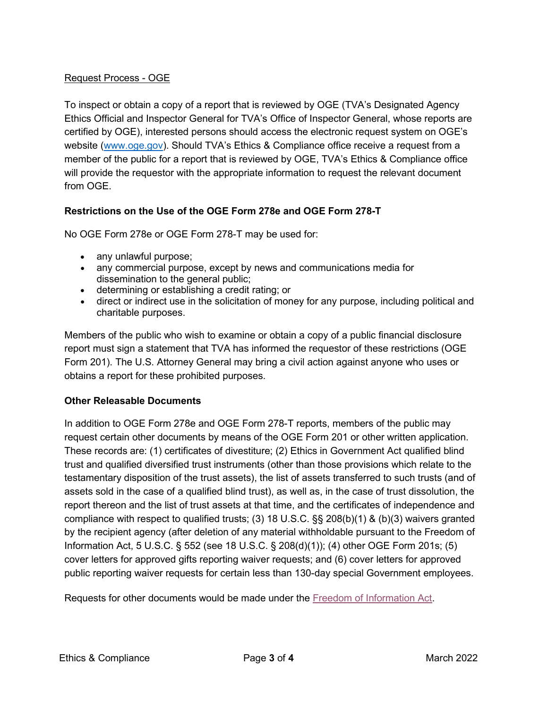## Request Process - OGE

To inspect or obtain a copy of a report that is reviewed by OGE (TVA's Designated Agency Ethics Official and Inspector General for TVA's Office of Inspector General, whose reports are certified by OGE), interested persons should access the electronic request system on OGE's website (www.oge.gov). Should TVA's Ethics & Compliance office receive a request from a member of the public for a report that is reviewed by OGE, TVA's Ethics & Compliance office will provide the requestor with the appropriate information to request the relevant document from OGE.

# **Restrictions on the Use of the OGE Form 278e and OGE Form 278-T**

No OGE Form 278e or OGE Form 278-T may be used for:

- any unlawful purpose;
- any commercial purpose, except by news and communications media for dissemination to the general public;
- determining or establishing a credit rating; or
- direct or indirect use in the solicitation of money for any purpose, including political and charitable purposes.

Members of the public who wish to examine or obtain a copy of a public financial disclosure report must sign a statement that TVA has informed the requestor of these restrictions (OGE Form 201). The U.S. Attorney General may bring a civil action against anyone who uses or obtains a report for these prohibited purposes.

## **Other Releasable Documents**

In addition to OGE Form 278e and OGE Form 278-T reports, members of the public may request certain other documents by means of the OGE Form 201 or other written application. These records are: (1) certificates of divestiture; (2) Ethics in Government Act qualified blind trust and qualified diversified trust instruments (other than those provisions which relate to the testamentary disposition of the trust assets), the list of assets transferred to such trusts (and of assets sold in the case of a qualified blind trust), as well as, in the case of trust dissolution, the report thereon and the list of trust assets at that time, and the certificates of independence and compliance with respect to qualified trusts; (3) 18 U.S.C. §§ 208(b)(1) & (b)(3) waivers granted by the recipient agency (after deletion of any material withholdable pursuant to the Freedom of Information Act, 5 U.S.C. § 552 (see 18 U.S.C. § 208(d)(1)); (4) other OGE Form 201s; (5) cover letters for approved gifts reporting waiver requests; and (6) cover letters for approved public reporting waiver requests for certain less than 130-day special Government employees.

Requests for other documents would be made under the [Freedom of Information Act.](https://www.tva.com/information/freedom-of-information)